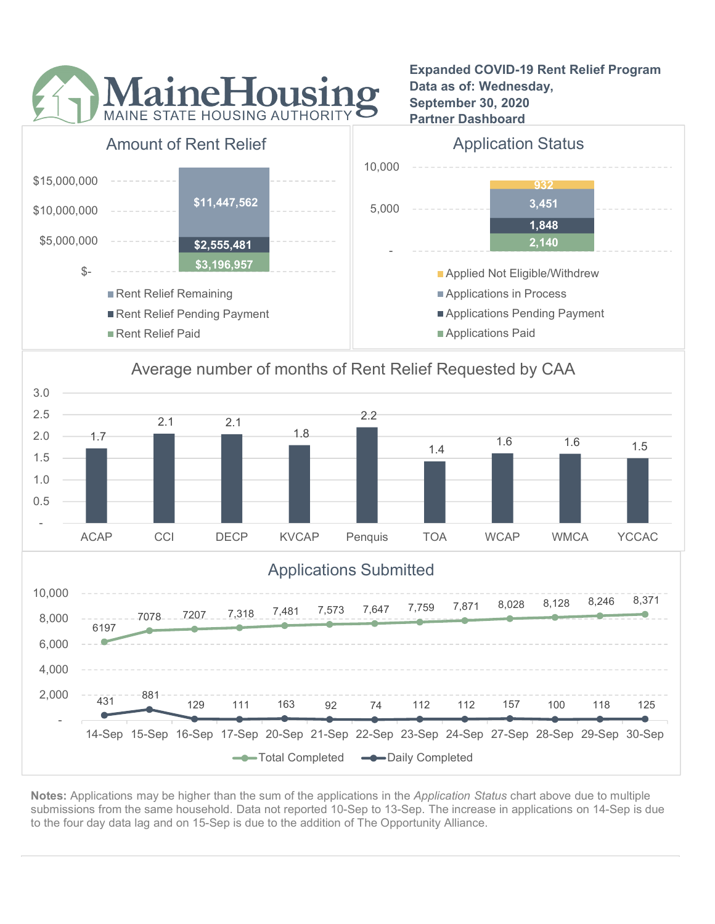

Expanded COVID-19 Rent Relief Program Data as of: Wednesday, September 30, 2020 Partner Dashboard



## Average number of months of Rent Relief Requested by CAA



Notes: Applications may be higher than the sum of the applications in the Application Status chart above due to multiple submissions from the same household. Data not reported 10-Sep to 13-Sep. The increase in applications on 14-Sep is due to the four day data lag and on 15-Sep is due to the addition of The Opportunity Alliance.